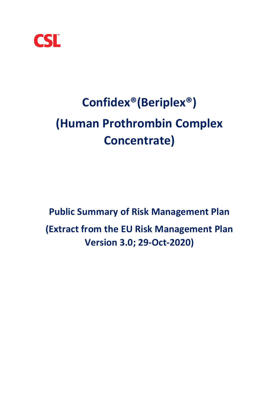

# **Confidex®(Beriplex®) (Human Prothrombin Complex Concentrate)**

**Public Summary of Risk Management Plan (Extract from the EU Risk Management Plan Version 3.0; 29-Oct-2020)**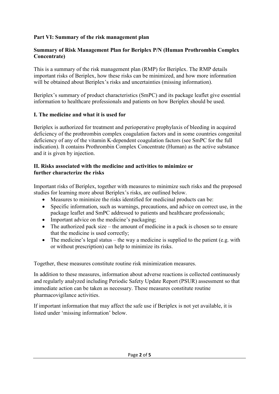### **Part VI: Summary of the risk management plan**

#### **Summary of Risk Management Plan for Beriplex P/N (Human Prothrombin Complex Concentrate)**

This is a summary of the risk management plan (RMP) for Beriplex. The RMP details important risks of Beriplex, how these risks can be minimized, and how more information will be obtained about Beriplex's risks and uncertainties (missing information).

Beriplex's summary of product characteristics (SmPC) and its package leaflet give essential information to healthcare professionals and patients on how Beriplex should be used.

#### **I. The medicine and what it is used for**

Beriplex is authorized for treatment and perioperative prophylaxis of bleeding in acquired deficiency of the prothrombin complex coagulation factors and in some countries congenital deficiency of any of the vitamin K-dependent coagulation factors (see SmPC for the full indication). It contains Prothrombin Complex Concentrate (Human) as the active substance and it is given by injection.

#### **II. Risks associated with the medicine and activities to minimize or further characterize the risks**

Important risks of Beriplex, together with measures to minimize such risks and the proposed studies for learning more about Beriplex's risks, are outlined below.

- Measures to minimize the risks identified for medicinal products can be:
- Specific information, such as warnings, precautions, and advice on correct use, in the package leaflet and SmPC addressed to patients and healthcare professionals;
- Important advice on the medicine's packaging;
- The authorized pack size the amount of medicine in a pack is chosen so to ensure that the medicine is used correctly;
- The medicine's legal status the way a medicine is supplied to the patient (e.g. with or without prescription) can help to minimize its risks.

Together, these measures constitute routine risk minimization measures.

In addition to these measures, information about adverse reactions is collected continuously and regularly analyzed including Periodic Safety Update Report (PSUR) assessment so that immediate action can be taken as necessary. These measures constitute routine pharmacovigilance activities.

If important information that may affect the safe use if Beriplex is not yet available, it is listed under 'missing information' below.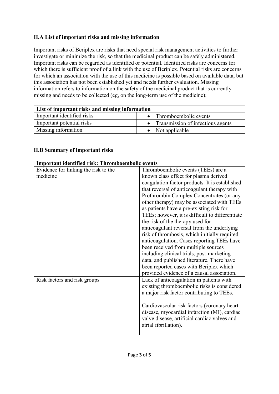# **II.A List of important risks and missing information**

Important risks of Beriplex are risks that need special risk management activities to further investigate or minimize the risk, so that the medicinal product can be safely administered. Important risks can be regarded as identified or potential. Identified risks are concerns for which there is sufficient proof of a link with the use of Beriplex. Potential risks are concerns for which an association with the use of this medicine is possible based on available data, but this association has not been established yet and needs further evaluation. Missing information refers to information on the safety of the medicinal product that is currently missing and needs to be collected (eg, on the long-term use of the medicine);

| List of important risks and missing information |                                   |
|-------------------------------------------------|-----------------------------------|
| Important identified risks                      | Thromboembolic events             |
| Important potential risks                       | Transmission of infectious agents |
| Missing information                             | • Not applicable                  |

#### **II.B Summary of important risks**

| Important identified risk: Thromboembolic events |                                                 |
|--------------------------------------------------|-------------------------------------------------|
| Evidence for linking the risk to the             | Thromboembolic events (TEEs) are a              |
| medicine                                         | known class effect for plasma derived           |
|                                                  | coagulation factor products. It is established  |
|                                                  | that reversal of anticoagulant therapy with     |
|                                                  | Prothrombin Complex Concentrates (or any        |
|                                                  | other therapy) may be associated with TEEs      |
|                                                  | as patients have a pre-existing risk for        |
|                                                  | TEEs; however, it is difficult to differentiate |
|                                                  | the risk of the therapy used for                |
|                                                  | anticoagulant reversal from the underlying      |
|                                                  | risk of thrombosis, which initially required    |
|                                                  | anticoagulation. Cases reporting TEEs have      |
|                                                  | been received from multiple sources             |
|                                                  | including clinical trials, post-marketing       |
|                                                  | data, and published literature. There have      |
|                                                  | been reported cases with Beriplex which         |
|                                                  | provided evidence of a causal association.      |
| Risk factors and risk groups                     | Lack of anticoagulation in patients with        |
|                                                  | existing thromboembolic risks is considered     |
|                                                  | a major risk factor contributing to TEEs.       |
|                                                  |                                                 |
|                                                  | Cardiovascular risk factors (coronary heart     |
|                                                  | disease, myocardial infarction (MI), cardiac    |
|                                                  | valve disease, artificial cardiac valves and    |
|                                                  | atrial fibrillation).                           |
|                                                  |                                                 |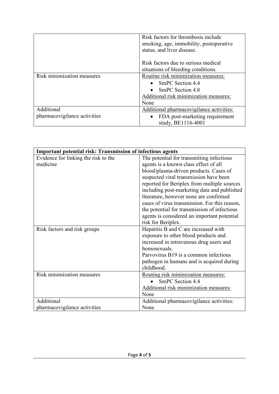|                                            | Risk factors for thrombosis include<br>smoking, age, immobility, postoperative<br>status, and liver disease.                          |
|--------------------------------------------|---------------------------------------------------------------------------------------------------------------------------------------|
|                                            | Risk factors due to serious medical<br>situations of bleeding conditions.                                                             |
| Risk minimization measures                 | Routine risk minimization measures:<br>• SmPC Section $4.4$<br>• SmPC Section $4.8$<br>Additional risk minimization measures:<br>None |
| Additional<br>pharmacovigilance activities | Additional pharmacovigilance activities:<br>FDA post-marketing requirement<br>study, BE1116-4001                                      |

| <b>Important potential risk: Transmission of infectious agents</b> |                                               |
|--------------------------------------------------------------------|-----------------------------------------------|
| Evidence for linking the risk to the                               | The potential for transmitting infectious     |
| medicine                                                           | agents is a known class effect of all         |
|                                                                    | blood/plasma-driven products. Cases of        |
|                                                                    | suspected viral transmission have been        |
|                                                                    | reported for Beriplex from multiple sources   |
|                                                                    | including post-marketing data and published   |
|                                                                    | literature, however none are confirmed        |
|                                                                    | cases of virus transmission. For this reason, |
|                                                                    | the potential for transmission of infectious  |
|                                                                    | agents is considered an important potential   |
|                                                                    | risk for Beriplex.                            |
| Risk factors and risk groups                                       | Hepatitis B and C are increased with          |
|                                                                    | exposure to other blood products and          |
|                                                                    | increased in intravenous drug users and       |
|                                                                    | homosexuals.                                  |
|                                                                    | Parvovirus B19 is a common infectious         |
|                                                                    | pathogen in humans and is acquired during     |
|                                                                    | childhood.                                    |
| Risk minimization measures                                         | Routing risk minimization measures:           |
|                                                                    | SmPC Section 4.4                              |
|                                                                    | Additional risk minimization measures:        |
|                                                                    | None                                          |
| Additional                                                         | Additional pharmacovigilance activities:      |
| pharmacovigilance activities                                       | None                                          |